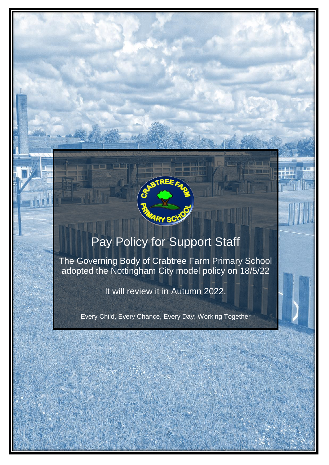

# Pay Policy for Support Staff

The Governing Body of Crabtree Farm Primary School adopted the Nottingham City model policy on 18/5/22

It will review it in Autumn 2022.

Every Child, Every Chance, Every Day; Working Together

*Issued May 2013 (PMH4S), updated May 2018, November 2019, September 2020*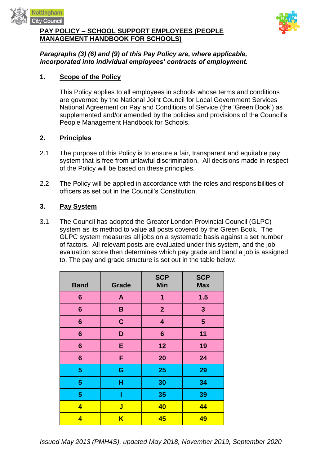

#### **PAY POLICY – SCHOOL SUPPORT EMPLOYEES (PEOPLE MANAGEMENT HANDBOOK FOR SCHOOLS)**



## *Paragraphs (3) (6) and (9) of this Pay Policy are, where applicable, incorporated into individual employees' contracts of employment.*

## **1. Scope of the Policy**

This Policy applies to all employees in schools whose terms and conditions are governed by the National Joint Council for Local Government Services National Agreement on Pay and Conditions of Service (the 'Green Book') as supplemented and/or amended by the policies and provisions of the Council's People Management Handbook for Schools.

#### **2. Principles**

- 2.1 The purpose of this Policy is to ensure a fair, transparent and equitable pay system that is free from unlawful discrimination. All decisions made in respect of the Policy will be based on these principles.
- 2.2 The Policy will be applied in accordance with the roles and responsibilities of officers as set out in the Council's Constitution.

## **3. Pay System**

3.1 The Council has adopted the Greater London Provincial Council (GLPC) system as its method to value all posts covered by the Green Book. The GLPC system measures all jobs on a systematic basis against a set number of factors. All relevant posts are evaluated under this system, and the job evaluation score then determines which pay grade and band a job is assigned to. The pay and grade structure is set out in the table below:

| <b>Band</b>             | <b>Grade</b>            | <b>SCP</b><br><b>Min</b> | <b>SCP</b><br><b>Max</b> |
|-------------------------|-------------------------|--------------------------|--------------------------|
| 6                       | A                       | 1                        | 1.5                      |
| 6                       | B                       | $\mathbf{2}$             | $\mathbf{3}$             |
| $6\phantom{1}6$         | $\mathbf C$             | 4                        | 5                        |
| $6\phantom{1}6$         | D                       | 6                        | 11                       |
| $6\phantom{1}6$         | E                       | 12                       | 19                       |
| $6\phantom{1}$          | F                       | 20                       | 24                       |
| 5                       | G                       | 25                       | 29                       |
| 5                       | н                       | 30                       | 34                       |
| 5                       | Ī                       | 35                       | 39                       |
| $\overline{\mathbf{4}}$ | J                       | 40                       | 44                       |
| 4                       | $\overline{\mathsf{K}}$ | 45                       | 49                       |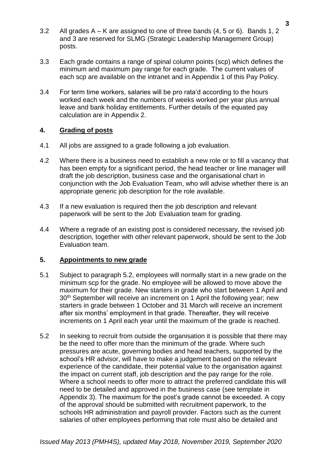- 3.2 All grades A K are assigned to one of three bands (4, 5 or 6). Bands 1, 2 and 3 are reserved for SLMG (Strategic Leadership Management Group) posts.
- 3.3 Each grade contains a range of spinal column points (scp) which defines the minimum and maximum pay range for each grade. The current values of each scp are available on the intranet and in Appendix 1 of this Pay Policy.
- 3.4 For term time workers, salaries will be pro rata'd according to the hours worked each week and the numbers of weeks worked per year plus annual leave and bank holiday entitlements. Further details of the equated pay calculation are in Appendix 2.

## **4. Grading of posts**

- 4.1 All jobs are assigned to a grade following a job evaluation.
- 4.2 Where there is a business need to establish a new role or to fill a vacancy that has been empty for a significant period, the head teacher or line manager will draft the job description, business case and the organisational chart in conjunction with the Job Evaluation Team, who will advise whether there is an appropriate generic job description for the role available.
- 4.3 If a new evaluation is required then the job description and relevant paperwork will be sent to the Job Evaluation team for grading.
- 4.4 Where a regrade of an existing post is considered necessary, the revised job description, together with other relevant paperwork, should be sent to the Job Evaluation team.

#### **5. Appointments to new grade**

- 5.1 Subject to paragraph 5.2, employees will normally start in a new grade on the minimum scp for the grade. No employee will be allowed to move above the maximum for their grade. New starters in grade who start between 1 April and 30<sup>th</sup> September will receive an increment on 1 April the following year; new starters in grade between 1 October and 31 March will receive an increment after six months' employment in that grade. Thereafter, they will receive increments on 1 April each year until the maximum of the grade is reached.
- 5.2 In seeking to recruit from outside the organisation it is possible that there may be the need to offer more than the minimum of the grade. Where such pressures are acute, governing bodies and head teachers, supported by the school's HR advisor, will have to make a judgement based on the relevant experience of the candidate, their potential value to the organisation against the impact on current staff, job description and the pay range for the role. Where a school needs to offer more to attract the preferred candidate this will need to be detailed and approved in the business case (see template in Appendix 3). The maximum for the post's grade cannot be exceeded. A copy of the approval should be submitted with recruitment paperwork, to the schools HR administration and payroll provider. Factors such as the current salaries of other employees performing that role must also be detailed and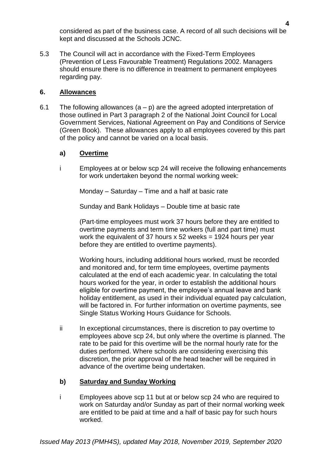considered as part of the business case. A record of all such decisions will be kept and discussed at the Schools JCNC.

5.3 The Council will act in accordance with the Fixed-Term Employees (Prevention of Less Favourable Treatment) Regulations 2002. Managers should ensure there is no difference in treatment to permanent employees regarding pay.

## **6. Allowances**

6.1 The following allowances  $(a - p)$  are the agreed adopted interpretation of those outlined in Part 3 paragraph 2 of the National Joint Council for Local Government Services, National Agreement on Pay and Conditions of Service (Green Book). These allowances apply to all employees covered by this part of the policy and cannot be varied on a local basis.

# **a) Overtime**

i Employees at or below scp 24 will receive the following enhancements for work undertaken beyond the normal working week:

Monday – Saturday – Time and a half at basic rate

Sunday and Bank Holidays – Double time at basic rate

(Part-time employees must work 37 hours before they are entitled to overtime payments and term time workers (full and part time) must work the equivalent of 37 hours  $x$  52 weeks = 1924 hours per year before they are entitled to overtime payments).

Working hours, including additional hours worked, must be recorded and monitored and, for term time employees, overtime payments calculated at the end of each academic year. In calculating the total hours worked for the year, in order to establish the additional hours eligible for overtime payment, the employee's annual leave and bank holiday entitlement, as used in their individual equated pay calculation, will be factored in. For further information on overtime payments, see Single Status Working Hours Guidance for Schools.

ii In exceptional circumstances, there is discretion to pay overtime to employees above scp 24, but only where the overtime is planned. The rate to be paid for this overtime will be the normal hourly rate for the duties performed. Where schools are considering exercising this discretion, the prior approval of the head teacher will be required in advance of the overtime being undertaken.

## **b) Saturday and Sunday Working**

i Employees above scp 11 but at or below scp 24 who are required to work on Saturday and/or Sunday as part of their normal working week are entitled to be paid at time and a half of basic pay for such hours worked.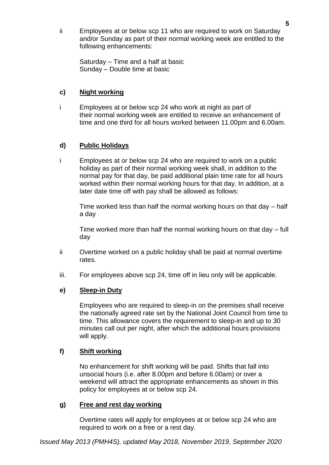ii Employees at or below scp 11 who are required to work on Saturday and/or Sunday as part of their normal working week are entitled to the following enhancements:

Saturday – Time and a half at basic Sunday – Double time at basic

## **c) Night working**

i Employees at or below scp 24 who work at night as part of their normal working week are entitled to receive an enhancement of time and one third for all hours worked between 11.00pm and 6.00am.

# **d) Public Holidays**

i Employees at or below scp 24 who are required to work on a public holiday as part of their normal working week shall, in addition to the normal pay for that day, be paid additional plain time rate for all hours worked within their normal working hours for that day. In addition, at a later date time off with pay shall be allowed as follows:

Time worked less than half the normal working hours on that day – half a day

Time worked more than half the normal working hours on that day – full day

- ii Overtime worked on a public holiday shall be paid at normal overtime rates.
- iii. For employees above scp 24, time off in lieu only will be applicable.

## **e) Sleep-in Duty**

Employees who are required to sleep-in on the premises shall receive the nationally agreed rate set by the National Joint Council from time to time. This allowance covers the requirement to sleep-in and up to 30 minutes call out per night, after which the additional hours provisions will apply.

## **f) Shift working**

No enhancement for shift working will be paid. Shifts that fall into unsocial hours (i.e. after 8.00pm and before 6.00am) or over a weekend will attract the appropriate enhancements as shown in this policy for employees at or below scp 24.

## **g) Free and rest day working**

Overtime rates will apply for employees at or below scp 24 who are required to work on a free or a rest day.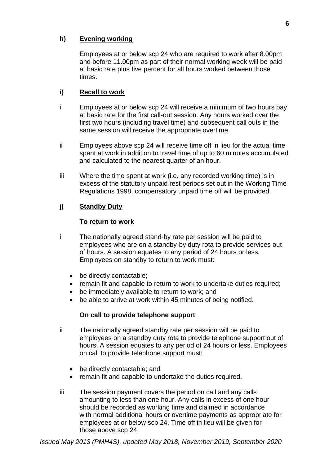# **h) Evening working**

Employees at or below scp 24 who are required to work after 8.00pm and before 11.00pm as part of their normal working week will be paid at basic rate plus five percent for all hours worked between those times.

## **i) Recall to work**

- i Employees at or below scp 24 will receive a minimum of two hours pay at basic rate for the first call-out session. Any hours worked over the first two hours (including travel time) and subsequent call outs in the same session will receive the appropriate overtime.
- ii Employees above scp 24 will receive time off in lieu for the actual time spent at work in addition to travel time of up to 60 minutes accumulated and calculated to the nearest quarter of an hour.
- iii Where the time spent at work (i.e. any recorded working time) is in excess of the statutory unpaid rest periods set out in the Working Time Regulations 1998, compensatory unpaid time off will be provided.

# **j) Standby Duty**

## **To return to work**

- i The nationally agreed stand-by rate per session will be paid to employees who are on a standby-by duty rota to provide services out of hours. A session equates to any period of 24 hours or less. Employees on standby to return to work must:
	- be directly contactable;
	- remain fit and capable to return to work to undertake duties required;
	- be immediately available to return to work; and
	- be able to arrive at work within 45 minutes of being notified.

## **On call to provide telephone support**

- ii The nationally agreed standby rate per session will be paid to employees on a standby duty rota to provide telephone support out of hours. A session equates to any period of 24 hours or less. Employees on call to provide telephone support must:
	- be directly contactable; and
	- remain fit and capable to undertake the duties required.
- iii The session payment covers the period on call and any calls amounting to less than one hour. Any calls in excess of one hour should be recorded as working time and claimed in accordance with normal additional hours or overtime payments as appropriate for employees at or below scp 24. Time off in lieu will be given for those above scp 24.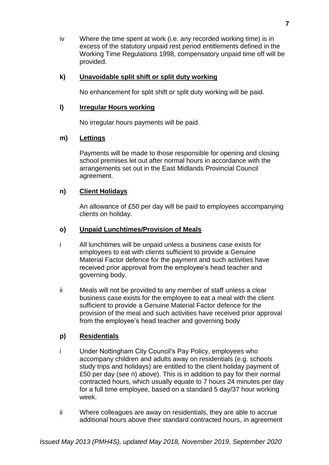iv Where the time spent at work (i.e. any recorded working time) is in excess of the statutory unpaid rest period entitlements defined in the Working Time Regulations 1998, compensatory unpaid time off will be provided.

## **k) Unavoidable split shift or split duty working**

No enhancement for split shift or split duty working will be paid.

## **l) Irregular Hours working**

No irregular hours payments will be paid.

# **m) Lettings**

Payments will be made to those responsible for opening and closing school premises let out after normal hours in accordance with the arrangements set out in the East Midlands Provincial Council agreement.

# **n) Client Holidays**

An allowance of £50 per day will be paid to employees accompanying clients on holiday.

# **o) Unpaid Lunchtimes/Provision of Meals**

- i All lunchtimes will be unpaid unless a business case exists for employees to eat with clients sufficient to provide a Genuine Material Factor defence for the payment and such activities have received prior approval from the employee's head teacher and governing body.
- ii Meals will not be provided to any member of staff unless a clear business case exists for the employee to eat a meal with the client sufficient to provide a Genuine Material Factor defence for the provision of the meal and such activities have received prior approval from the employee's head teacher and governing body

# **p) Residentials**

- i Under Nottingham City Council's Pay Policy, employees who accompany children and adults away on residentials (e.g. schools study trips and holidays) are entitled to the client holiday payment of £50 per day (see n) above). This is in addition to pay for their normal contracted hours, which usually equate to 7 hours 24 minutes per day for a full time employee, based on a standard 5 day/37 hour working week.
- ii Where colleagues are away on residentials, they are able to accrue additional hours above their standard contracted hours, in agreement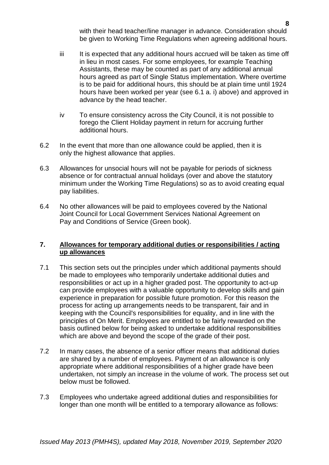with their head teacher/line manager in advance. Consideration should be given to Working Time Regulations when agreeing additional hours.

- iii It is expected that any additional hours accrued will be taken as time off in lieu in most cases. For some employees, for example Teaching Assistants, these may be counted as part of any additional annual hours agreed as part of Single Status implementation. Where overtime is to be paid for additional hours, this should be at plain time until 1924 hours have been worked per year (see 6.1 a. i) above) and approved in advance by the head teacher.
- iv To ensure consistency across the City Council, it is not possible to forego the Client Holiday payment in return for accruing further additional hours.
- 6.2 In the event that more than one allowance could be applied, then it is only the highest allowance that applies.
- 6.3 Allowances for unsocial hours will not be payable for periods of sickness absence or for contractual annual holidays (over and above the statutory minimum under the Working Time Regulations) so as to avoid creating equal pay liabilities.
- 6.4 No other allowances will be paid to employees covered by the National Joint Council for Local Government Services National Agreement on Pay and Conditions of Service (Green book).

## **7. Allowances for temporary additional duties or responsibilities / acting up allowances**

- 7.1 This section sets out the principles under which additional payments should be made to employees who temporarily undertake additional duties and responsibilities or act up in a higher graded post. The opportunity to act-up can provide employees with a valuable opportunity to develop skills and gain experience in preparation for possible future promotion. For this reason the process for acting up arrangements needs to be transparent, fair and in keeping with the Council's responsibilities for equality, and in line with the principles of On Merit. Employees are entitled to be fairly rewarded on the basis outlined below for being asked to undertake additional responsibilities which are above and beyond the scope of the grade of their post.
- 7.2 In many cases, the absence of a senior officer means that additional duties are shared by a number of employees. Payment of an allowance is only appropriate where additional responsibilities of a higher grade have been undertaken, not simply an increase in the volume of work. The process set out below must be followed.
- 7.3 Employees who undertake agreed additional duties and responsibilities for longer than one month will be entitled to a temporary allowance as follows: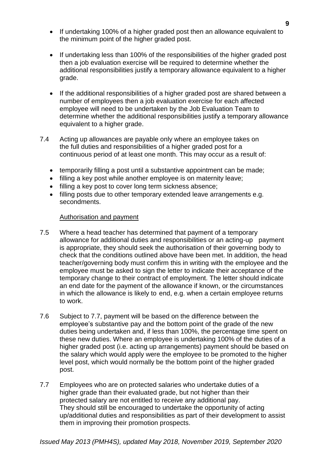- If undertaking 100% of a higher graded post then an allowance equivalent to the minimum point of the higher graded post.
- If undertaking less than 100% of the responsibilities of the higher graded post then a job evaluation exercise will be required to determine whether the additional responsibilities justify a temporary allowance equivalent to a higher grade.
- If the additional responsibilities of a higher graded post are shared between a number of employees then a job evaluation exercise for each affected employee will need to be undertaken by the Job Evaluation Team to determine whether the additional responsibilities justify a temporary allowance equivalent to a higher grade.
- 7.4 Acting up allowances are payable only where an employee takes on the full duties and responsibilities of a higher graded post for a continuous period of at least one month. This may occur as a result of:
	- temporarily filling a post until a substantive appointment can be made;
	- filling a key post while another employee is on maternity leave;
	- filling a key post to cover long term sickness absence:
	- filling posts due to other temporary extended leave arrangements e.g. secondments.

#### Authorisation and payment

- 7.5 Where a head teacher has determined that payment of a temporary allowance for additional duties and responsibilities or an acting-up payment is appropriate, they should seek the authorisation of their governing body to check that the conditions outlined above have been met. In addition, the head teacher/governing body must confirm this in writing with the employee and the employee must be asked to sign the letter to indicate their acceptance of the temporary change to their contract of employment. The letter should indicate an end date for the payment of the allowance if known, or the circumstances in which the allowance is likely to end, e.g. when a certain employee returns to work.
- 7.6 Subject to 7.7, payment will be based on the difference between the employee's substantive pay and the bottom point of the grade of the new duties being undertaken and, if less than 100%, the percentage time spent on these new duties. Where an employee is undertaking 100% of the duties of a higher graded post (i.e. acting up arrangements) payment should be based on the salary which would apply were the employee to be promoted to the higher level post, which would normally be the bottom point of the higher graded post.
- 7.7 Employees who are on protected salaries who undertake duties of a higher grade than their evaluated grade, but not higher than their protected salary are not entitled to receive any additional pay. They should still be encouraged to undertake the opportunity of acting up/additional duties and responsibilities as part of their development to assist them in improving their promotion prospects.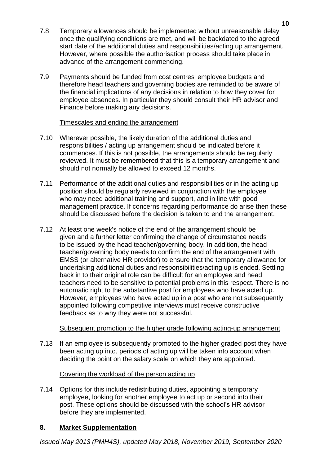- 7.8 Temporary allowances should be implemented without unreasonable delay once the qualifying conditions are met, and will be backdated to the agreed start date of the additional duties and responsibilities/acting up arrangement. However, where possible the authorisation process should take place in advance of the arrangement commencing.
- 7.9 Payments should be funded from cost centres' employee budgets and therefore head teachers and governing bodies are reminded to be aware of the financial implications of any decisions in relation to how they cover for employee absences. In particular they should consult their HR advisor and Finance before making any decisions.

## Timescales and ending the arrangement

- 7.10 Wherever possible, the likely duration of the additional duties and responsibilities / acting up arrangement should be indicated before it commences. If this is not possible, the arrangements should be regularly reviewed. It must be remembered that this is a temporary arrangement and should not normally be allowed to exceed 12 months.
- 7.11 Performance of the additional duties and responsibilities or in the acting up position should be regularly reviewed in conjunction with the employee who may need additional training and support, and in line with good management practice. If concerns regarding performance do arise then these should be discussed before the decision is taken to end the arrangement.
- 7.12 At least one week's notice of the end of the arrangement should be given and a further letter confirming the change of circumstance needs to be issued by the head teacher/governing body. In addition, the head teacher/governing body needs to confirm the end of the arrangement with EMSS (or alternative HR provider) to ensure that the temporary allowance for undertaking additional duties and responsibilities/acting up is ended. Settling back in to their original role can be difficult for an employee and head teachers need to be sensitive to potential problems in this respect. There is no automatic right to the substantive post for employees who have acted up. However, employees who have acted up in a post who are not subsequently appointed following competitive interviews must receive constructive feedback as to why they were not successful.

## Subsequent promotion to the higher grade following acting-up arrangement

7.13 If an employee is subsequently promoted to the higher graded post they have been acting up into, periods of acting up will be taken into account when deciding the point on the salary scale on which they are appointed.

## Covering the workload of the person acting up

7.14 Options for this include redistributing duties, appointing a temporary employee, looking for another employee to act up or second into their post. These options should be discussed with the school's HR advisor before they are implemented.

# **8. Market Supplementation**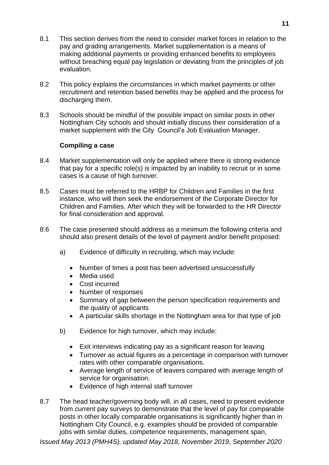- 8.1 This section derives from the need to consider market forces in relation to the pay and grading arrangements. Market supplementation is a means of making additional payments or providing enhanced benefits to employees without breaching equal pay legislation or deviating from the principles of job evaluation.
- 8.2 This policy explains the circumstances in which market payments or other recruitment and retention based benefits may be applied and the process for discharging them.
- 8.3 Schools should be mindful of the possible impact on similar posts in other Nottingham City schools and should initially discuss their consideration of a market supplement with the City Council's Job Evaluation Manager.

## **Compiling a case**

- 8.4 Market supplementation will only be applied where there is strong evidence that pay for a specific role(s) is impacted by an inability to recruit or in some cases is a cause of high turnover.
- 8.5 Cases must be referred to the HRBP for Children and Families in the first instance, who will then seek the endorsement of the Corporate Director for Children and Families. After which they will be forwarded to the HR Director for final consideration and approval.
- 8.6 The case presented should address as a minimum the following criteria and should also present details of the level of payment and/or benefit proposed:
	- a) Evidence of difficulty in recruiting, which may include:
		- Number of times a post has been advertised unsuccessfully
		- Media used
		- Cost incurred
		- Number of responses
		- Summary of gap between the person specification requirements and the quality of applicants
		- A particular skills shortage in the Nottingham area for that type of job
	- b) Evidence for high turnover, which may include:
		- Exit interviews indicating pay as a significant reason for leaving
		- Turnover as actual figures as a percentage in comparison with turnover rates with other comparable organisations.
		- Average length of service of leavers compared with average length of service for organisation.
		- Evidence of high internal staff turnover
- 8.7 The head teacher/governing body will, in all cases, need to present evidence from current pay surveys to demonstrate that the level of pay for comparable posts in other locally comparable organisations is significantly higher than in Nottingham City Council, e.g. examples should be provided of comparable jobs with similar duties, competence requirements, management span,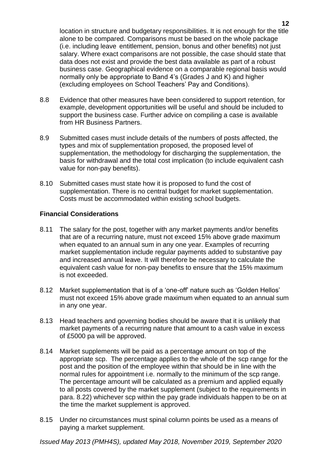location in structure and budgetary responsibilities. It is not enough for the title alone to be compared. Comparisons must be based on the whole package (i.e. including leave entitlement, pension, bonus and other benefits) not just salary. Where exact comparisons are not possible, the case should state that data does not exist and provide the best data available as part of a robust business case. Geographical evidence on a comparable regional basis would normally only be appropriate to Band 4's (Grades J and K) and higher (excluding employees on School Teachers' Pay and Conditions).

- 8.8 Evidence that other measures have been considered to support retention, for example, development opportunities will be useful and should be included to support the business case. Further advice on compiling a case is available from HR Business Partners.
- 8.9 Submitted cases must include details of the numbers of posts affected, the types and mix of supplementation proposed, the proposed level of supplementation, the methodology for discharging the supplementation, the basis for withdrawal and the total cost implication (to include equivalent cash value for non-pay benefits).
- 8.10 Submitted cases must state how it is proposed to fund the cost of supplementation. There is no central budget for market supplementation. Costs must be accommodated within existing school budgets.

#### **Financial Considerations**

- 8.11 The salary for the post, together with any market payments and/or benefits that are of a recurring nature, must not exceed 15% above grade maximum when equated to an annual sum in any one year. Examples of recurring market supplementation include regular payments added to substantive pay and increased annual leave. It will therefore be necessary to calculate the equivalent cash value for non-pay benefits to ensure that the 15% maximum is not exceeded.
- 8.12 Market supplementation that is of a 'one-off' nature such as 'Golden Hellos' must not exceed 15% above grade maximum when equated to an annual sum in any one year.
- 8.13 Head teachers and governing bodies should be aware that it is unlikely that market payments of a recurring nature that amount to a cash value in excess of £5000 pa will be approved.
- 8.14 Market supplements will be paid as a percentage amount on top of the appropriate scp. The percentage applies to the whole of the scp range for the post and the position of the employee within that should be in line with the normal rules for appointment i.e. normally to the minimum of the scp range. The percentage amount will be calculated as a premium and applied equally to all posts covered by the market supplement (subject to the requirements in para. 8.22) whichever scp within the pay grade individuals happen to be on at the time the market supplement is approved.
- 8.15 Under no circumstances must spinal column points be used as a means of paying a market supplement.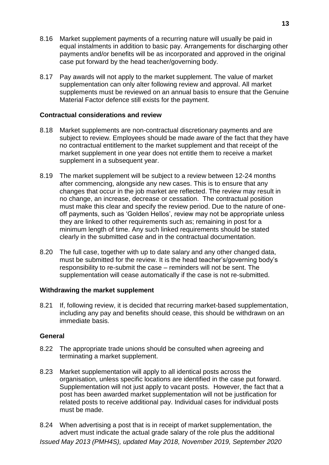- 8.16 Market supplement payments of a recurring nature will usually be paid in equal instalments in addition to basic pay. Arrangements for discharging other payments and/or benefits will be as incorporated and approved in the original case put forward by the head teacher/governing body.
- 8.17 Pay awards will not apply to the market supplement. The value of market supplementation can only alter following review and approval. All market supplements must be reviewed on an annual basis to ensure that the Genuine Material Factor defence still exists for the payment.

### **Contractual considerations and review**

- 8.18 Market supplements are non-contractual discretionary payments and are subject to review. Employees should be made aware of the fact that they have no contractual entitlement to the market supplement and that receipt of the market supplement in one year does not entitle them to receive a market supplement in a subsequent year.
- 8.19 The market supplement will be subject to a review between 12-24 months after commencing, alongside any new cases. This is to ensure that any changes that occur in the job market are reflected. The review may result in no change, an increase, decrease or cessation. The contractual position must make this clear and specify the review period. Due to the nature of oneoff payments, such as 'Golden Hellos', review may not be appropriate unless they are linked to other requirements such as; remaining in post for a minimum length of time. Any such linked requirements should be stated clearly in the submitted case and in the contractual documentation.
- 8.20 The full case, together with up to date salary and any other changed data, must be submitted for the review. It is the head teacher's/governing body's responsibility to re-submit the case – reminders will not be sent. The supplementation will cease automatically if the case is not re-submitted.

#### **Withdrawing the market supplement**

8.21 If, following review, it is decided that recurring market-based supplementation, including any pay and benefits should cease, this should be withdrawn on an immediate basis.

#### **General**

- 8.22 The appropriate trade unions should be consulted when agreeing and terminating a market supplement.
- 8.23 Market supplementation will apply to all identical posts across the organisation, unless specific locations are identified in the case put forward. Supplementation will not just apply to vacant posts. However, the fact that a post has been awarded market supplementation will not be justification for related posts to receive additional pay. Individual cases for individual posts must be made.
- *Issued May 2013 (PMH4S), updated May 2018, November 2019, September 2020* 8.24 When advertising a post that is in receipt of market supplementation, the advert must indicate the actual grade salary of the role plus the additional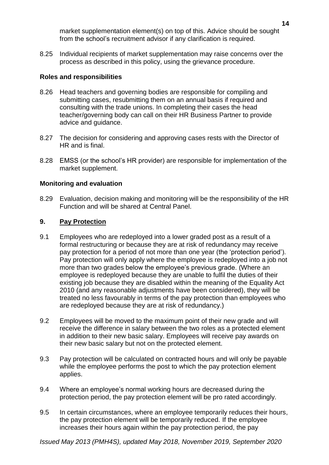market supplementation element(s) on top of this. Advice should be sought from the school's recruitment advisor if any clarification is required.

8.25 Individual recipients of market supplementation may raise concerns over the process as described in this policy, using the grievance procedure.

## **Roles and responsibilities**

- 8.26 Head teachers and governing bodies are responsible for compiling and submitting cases, resubmitting them on an annual basis if required and consulting with the trade unions. In completing their cases the head teacher/governing body can call on their HR Business Partner to provide advice and guidance.
- 8.27 The decision for considering and approving cases rests with the Director of HR and is final.
- 8.28 EMSS (or the school's HR provider) are responsible for implementation of the market supplement.

# **Monitoring and evaluation**

8.29 Evaluation, decision making and monitoring will be the responsibility of the HR Function and will be shared at Central Panel.

# **9. Pay Protection**

- 9.1 Employees who are redeployed into a lower graded post as a result of a formal restructuring or because they are at risk of redundancy may receive pay protection for a period of not more than one year (the 'protection period'). Pay protection will only apply where the employee is redeployed into a job not more than two grades below the employee's previous grade. (Where an employee is redeployed because they are unable to fulfil the duties of their existing job because they are disabled within the meaning of the Equality Act 2010 (and any reasonable adjustments have been considered), they will be treated no less favourably in terms of the pay protection than employees who are redeployed because they are at risk of redundancy.)
- 9.2 Employees will be moved to the maximum point of their new grade and will receive the difference in salary between the two roles as a protected element in addition to their new basic salary. Employees will receive pay awards on their new basic salary but not on the protected element.
- 9.3 Pay protection will be calculated on contracted hours and will only be payable while the employee performs the post to which the pay protection element applies.
- 9.4 Where an employee's normal working hours are decreased during the protection period, the pay protection element will be pro rated accordingly.
- 9.5 In certain circumstances, where an employee temporarily reduces their hours, the pay protection element will be temporarily reduced. If the employee increases their hours again within the pay protection period, the pay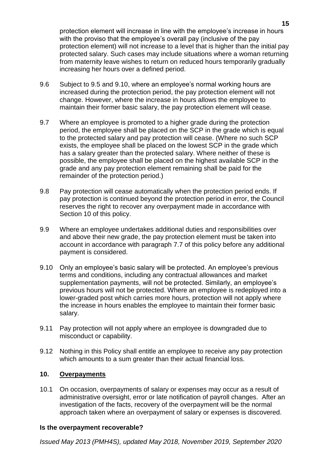protection element will increase in line with the employee's increase in hours with the proviso that the employee's overall pay (inclusive of the pay protection element) will not increase to a level that is higher than the initial pay protected salary. Such cases may include situations where a woman returning from maternity leave wishes to return on reduced hours temporarily gradually increasing her hours over a defined period.

- 9.6 Subject to 9.5 and 9.10, where an employee's normal working hours are increased during the protection period, the pay protection element will not change. However, where the increase in hours allows the employee to maintain their former basic salary, the pay protection element will cease.
- 9.7 Where an employee is promoted to a higher grade during the protection period, the employee shall be placed on the SCP in the grade which is equal to the protected salary and pay protection will cease. (Where no such SCP exists, the employee shall be placed on the lowest SCP in the grade which has a salary greater than the protected salary. Where neither of these is possible, the employee shall be placed on the highest available SCP in the grade and any pay protection element remaining shall be paid for the remainder of the protection period.)
- 9.8 Pay protection will cease automatically when the protection period ends. If pay protection is continued beyond the protection period in error, the Council reserves the right to recover any overpayment made in accordance with Section 10 of this policy.
- 9.9 Where an employee undertakes additional duties and responsibilities over and above their new grade, the pay protection element must be taken into account in accordance with paragraph 7.7 of this policy before any additional payment is considered.
- 9.10 Only an employee's basic salary will be protected. An employee's previous terms and conditions, including any contractual allowances and market supplementation payments, will not be protected. Similarly, an employee's previous hours will not be protected. Where an employee is redeployed into a lower-graded post which carries more hours, protection will not apply where the increase in hours enables the employee to maintain their former basic salary.
- 9.11 Pay protection will not apply where an employee is downgraded due to misconduct or capability.
- 9.12 Nothing in this Policy shall entitle an employee to receive any pay protection which amounts to a sum greater than their actual financial loss.

## **10. Overpayments**

10.1 On occasion, overpayments of salary or expenses may occur as a result of administrative oversight, error or late notification of payroll changes. After an investigation of the facts, recovery of the overpayment will be the normal approach taken where an overpayment of salary or expenses is discovered.

#### **Is the overpayment recoverable?**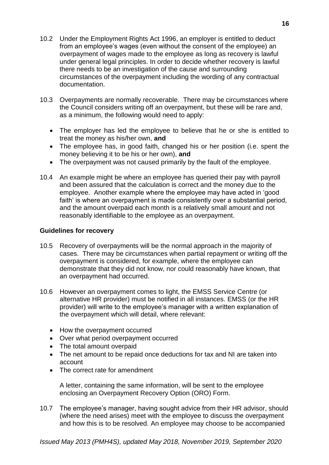- 10.2 Under the Employment Rights Act 1996, an employer is entitled to deduct from an employee's wages (even without the consent of the employee) an overpayment of wages made to the employee as long as recovery is lawful under general legal principles. In order to decide whether recovery is lawful there needs to be an investigation of the cause and surrounding circumstances of the overpayment including the wording of any contractual documentation.
- 10.3 Overpayments are normally recoverable. There may be circumstances where the Council considers writing off an overpayment, but these will be rare and, as a minimum, the following would need to apply:
	- The employer has led the employee to believe that he or she is entitled to treat the money as his/her own, **and**
	- The employee has, in good faith, changed his or her position (i.e. spent the money believing it to be his or her own), **and**
	- The overpayment was not caused primarily by the fault of the employee.
- 10.4 An example might be where an employee has queried their pay with payroll and been assured that the calculation is correct and the money due to the employee. Another example where the employee may have acted in 'good faith' is where an overpayment is made consistently over a substantial period, and the amount overpaid each month is a relatively small amount and not reasonably identifiable to the employee as an overpayment.

#### **Guidelines for recovery**

- 10.5 Recovery of overpayments will be the normal approach in the majority of cases. There may be circumstances when partial repayment or writing off the overpayment is considered, for example, where the employee can demonstrate that they did not know, nor could reasonably have known, that an overpayment had occurred.
- 10.6 However an overpayment comes to light, the EMSS Service Centre (or alternative HR provider) must be notified in all instances. EMSS (or the HR provider) will write to the employee's manager with a written explanation of the overpayment which will detail, where relevant:
	- How the overpayment occurred
	- Over what period overpayment occurred
	- The total amount overpaid
	- The net amount to be repaid once deductions for tax and NI are taken into account
	- The correct rate for amendment

A letter, containing the same information, will be sent to the employee enclosing an Overpayment Recovery Option (ORO) Form.

10.7 The employee's manager, having sought advice from their HR advisor, should (where the need arises) meet with the employee to discuss the overpayment and how this is to be resolved. An employee may choose to be accompanied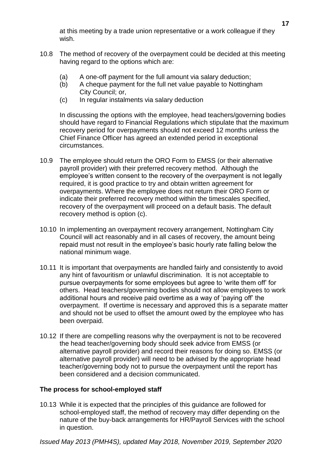at this meeting by a trade union representative or a work colleague if they wish.

- 10.8 The method of recovery of the overpayment could be decided at this meeting having regard to the options which are:
	- (a) A one-off payment for the full amount via salary deduction;
	- (b) A cheque payment for the full net value payable to Nottingham City Council; or,
	- (c) In regular instalments via salary deduction

In discussing the options with the employee, head teachers/governing bodies should have regard to Financial Regulations which stipulate that the maximum recovery period for overpayments should not exceed 12 months unless the Chief Finance Officer has agreed an extended period in exceptional circumstances.

- 10.9 The employee should return the ORO Form to EMSS (or their alternative payroll provider) with their preferred recovery method. Although the employee's written consent to the recovery of the overpayment is not legally required, it is good practice to try and obtain written agreement for overpayments. Where the employee does not return their ORO Form or indicate their preferred recovery method within the timescales specified, recovery of the overpayment will proceed on a default basis. The default recovery method is option (c).
- 10.10 In implementing an overpayment recovery arrangement, Nottingham City Council will act reasonably and in all cases of recovery, the amount being repaid must not result in the employee's basic hourly rate falling below the national minimum wage.
- 10.11 It is important that overpayments are handled fairly and consistently to avoid any hint of favouritism or unlawful discrimination. It is not acceptable to pursue overpayments for some employees but agree to 'write them off' for others. Head teachers/governing bodies should not allow employees to work additional hours and receive paid overtime as a way of 'paying off' the overpayment. If overtime is necessary and approved this is a separate matter and should not be used to offset the amount owed by the employee who has been overpaid.
- 10.12 If there are compelling reasons why the overpayment is not to be recovered the head teacher/governing body should seek advice from EMSS (or alternative payroll provider) and record their reasons for doing so. EMSS (or alternative payroll provider) will need to be advised by the appropriate head teacher/governing body not to pursue the overpayment until the report has been considered and a decision communicated.

## **The process for school-employed staff**

10.13 While it is expected that the principles of this guidance are followed for school-employed staff, the method of recovery may differ depending on the nature of the buy-back arrangements for HR/Payroll Services with the school in question.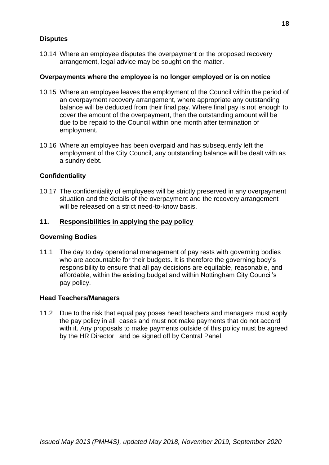### **Disputes**

10.14 Where an employee disputes the overpayment or the proposed recovery arrangement, legal advice may be sought on the matter.

#### **Overpayments where the employee is no longer employed or is on notice**

- 10.15 Where an employee leaves the employment of the Council within the period of an overpayment recovery arrangement, where appropriate any outstanding balance will be deducted from their final pay. Where final pay is not enough to cover the amount of the overpayment, then the outstanding amount will be due to be repaid to the Council within one month after termination of employment.
- 10.16 Where an employee has been overpaid and has subsequently left the employment of the City Council, any outstanding balance will be dealt with as a sundry debt.

## **Confidentiality**

10.17 The confidentiality of employees will be strictly preserved in any overpayment situation and the details of the overpayment and the recovery arrangement will be released on a strict need-to-know basis.

### **11. Responsibilities in applying the pay policy**

#### **Governing Bodies**

11.1 The day to day operational management of pay rests with governing bodies who are accountable for their budgets. It is therefore the governing body's responsibility to ensure that all pay decisions are equitable, reasonable, and affordable, within the existing budget and within Nottingham City Council's pay policy.

#### **Head Teachers/Managers**

11.2 Due to the risk that equal pay poses head teachers and managers must apply the pay policy in all cases and must not make payments that do not accord with it. Any proposals to make payments outside of this policy must be agreed by the HR Director and be signed off by Central Panel.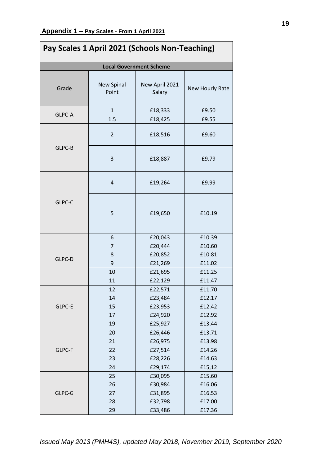| Pay Scales 1 April 2021 (Schools Non-Teaching) |                                |                                                                |                                                          |  |  |
|------------------------------------------------|--------------------------------|----------------------------------------------------------------|----------------------------------------------------------|--|--|
|                                                | <b>Local Government Scheme</b> |                                                                |                                                          |  |  |
| Grade                                          | <b>New Spinal</b><br>Point     | New April 2021<br>Salary                                       | New Hourly Rate                                          |  |  |
| GLPC-A                                         | $\mathbf{1}$<br>1.5            | £18,333<br>£18,425                                             | £9.50<br>£9.55                                           |  |  |
| GLPC-B                                         | $\overline{2}$                 | £18,516                                                        | £9.60                                                    |  |  |
|                                                | 3                              | £18,887                                                        | £9.79                                                    |  |  |
| GLPC-C                                         | $\overline{4}$                 | £19,264                                                        | £9.99                                                    |  |  |
|                                                | 5                              | £19,650                                                        | £10.19                                                   |  |  |
| GLPC-D                                         | 6<br>7<br>8<br>9<br>10<br>11   | £20,043<br>£20,444<br>£20,852<br>£21,269<br>£21,695<br>£22,129 | £10.39<br>£10.60<br>£10.81<br>£11.02<br>£11.25<br>£11.47 |  |  |
| GLPC-E                                         | 12<br>14<br>15<br>17<br>19     | £22,571<br>£23,484<br>£23,953<br>£24,920<br>£25,927            | £11.70<br>£12.17<br>£12.42<br>£12.92<br>£13.44           |  |  |
| GLPC-F                                         | 20<br>21<br>22<br>23<br>24     | £26,446<br>£26,975<br>£27,514<br>£28,226<br>£29,174            | £13.71<br>£13.98<br>£14.26<br>£14.63<br>£15,12           |  |  |
| GLPC-G                                         | 25<br>26<br>27<br>28<br>29     | £30,095<br>£30,984<br>£31,895<br>£32,798<br>£33,486            | £15.60<br>£16.06<br>£16.53<br>£17.00<br>£17.36           |  |  |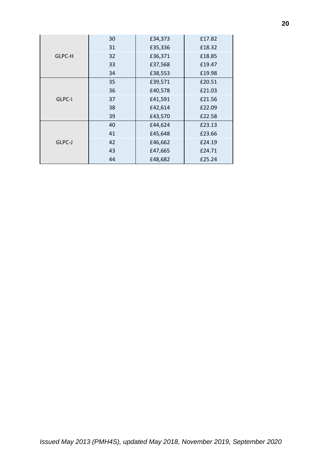| GLPC-H | 30 | £34,373 | £17.82 |
|--------|----|---------|--------|
|        | 31 | £35,336 | £18.32 |
|        | 32 | £36,371 | £18.85 |
|        | 33 | £37,568 | £19.47 |
|        | 34 | £38,553 | £19.98 |
| GLPC-I | 35 | £39,571 | £20.51 |
|        | 36 | £40,578 | £21.03 |
|        | 37 | £41,591 | £21.56 |
|        | 38 | £42,614 | £22.09 |
|        | 39 | £43,570 | £22.58 |
| GLPC-J | 40 | £44,624 | £23.13 |
|        | 41 | £45,648 | £23.66 |
|        | 42 | £46,662 | £24.19 |
|        | 43 | £47,665 | £24.71 |
|        | 44 | £48,682 | £25.24 |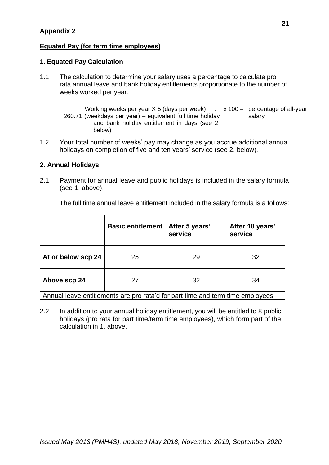# **Appendix 2**

## **Equated Pay (for term time employees)**

## **1. Equated Pay Calculation**

1.1 The calculation to determine your salary uses a percentage to calculate pro rata annual leave and bank holiday entitlements proportionate to the number of weeks worked per year:

Working weeks per year  $X$  5 (days per week)  $\ldots$  x 100 = percentage of all-year 260.71 (weekdays per year) – equivalent full time holiday and bank holiday entitlement in days (see 2. below) salary

1.2 Your total number of weeks' pay may change as you accrue additional annual holidays on completion of five and ten years' service (see 2. below).

## **2. Annual Holidays**

2.1 Payment for annual leave and public holidays is included in the salary formula (see 1. above).

The full time annual leave entitlement included in the salary formula is a follows:

|                    | <b>Basic entitlement</b> | After 5 years'<br>service | After 10 years'<br>service |
|--------------------|--------------------------|---------------------------|----------------------------|
| At or below scp 24 | 25                       | 29                        | 32                         |
| Above scp 24       |                          | 32                        | 34                         |

Annual leave entitlements are pro rata'd for part time and term time employees

2.2 In addition to your annual holiday entitlement, you will be entitled to 8 public holidays (pro rata for part time/term time employees), which form part of the calculation in 1. above.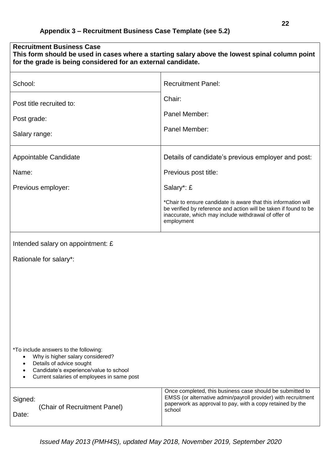| <b>Recruitment Business Case</b><br>This form should be used in cases where a starting salary above the lowest spinal column point<br>for the grade is being considered for an external candidate.                                |                                                                                                                                                                                                          |  |
|-----------------------------------------------------------------------------------------------------------------------------------------------------------------------------------------------------------------------------------|----------------------------------------------------------------------------------------------------------------------------------------------------------------------------------------------------------|--|
| School:                                                                                                                                                                                                                           | <b>Recruitment Panel:</b>                                                                                                                                                                                |  |
| Post title recruited to:                                                                                                                                                                                                          | Chair:                                                                                                                                                                                                   |  |
| Post grade:                                                                                                                                                                                                                       | Panel Member:                                                                                                                                                                                            |  |
| Salary range:                                                                                                                                                                                                                     | Panel Member:                                                                                                                                                                                            |  |
| Appointable Candidate                                                                                                                                                                                                             | Details of candidate's previous employer and post:                                                                                                                                                       |  |
| Name:                                                                                                                                                                                                                             | Previous post title:                                                                                                                                                                                     |  |
| Previous employer:                                                                                                                                                                                                                | Salary*: £                                                                                                                                                                                               |  |
|                                                                                                                                                                                                                                   | *Chair to ensure candidate is aware that this information will<br>be verified by reference and action will be taken if found to be<br>inaccurate, which may include withdrawal of offer of<br>employment |  |
| Intended salary on appointment: £                                                                                                                                                                                                 |                                                                                                                                                                                                          |  |
| Rationale for salary*:                                                                                                                                                                                                            |                                                                                                                                                                                                          |  |
|                                                                                                                                                                                                                                   |                                                                                                                                                                                                          |  |
|                                                                                                                                                                                                                                   |                                                                                                                                                                                                          |  |
|                                                                                                                                                                                                                                   |                                                                                                                                                                                                          |  |
|                                                                                                                                                                                                                                   |                                                                                                                                                                                                          |  |
|                                                                                                                                                                                                                                   |                                                                                                                                                                                                          |  |
| *To include answers to the following:<br>Why is higher salary considered?<br>$\bullet$<br>Details of advice sought<br>٠<br>Candidate's experience/value to school<br>٠<br>Current salaries of employees in same post<br>$\bullet$ |                                                                                                                                                                                                          |  |
| Signed:<br>(Chair of Recruitment Panel)<br>Date:                                                                                                                                                                                  | Once completed, this business case should be submitted to<br>EMSS (or alternative admin/payroll provider) with recruitment<br>paperwork as approval to pay, with a copy retained by the<br>school        |  |